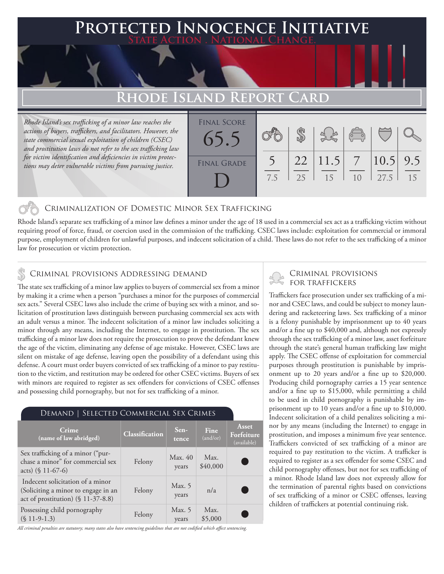### **PTED INNOCENCE INITIATIVE State Action . National Change.**

## **Rhode Island Report Card**

*Rhode Island's sex trafficking of a minor law reaches the actions of buyers, traffickers, and facilitators. However, the state commercial sexual exploitation of children (CSEC) and prostitution laws do not refer to the sex trafficking law for victim identification and deficiencies in victim protections may deter vulnerable victims from pursuing justice.*

| <b>FINAL SCORE</b><br>65.5 |     |    |                             | $\begin{pmatrix} 0 & 0 \\ 0 & 0 \end{pmatrix}$ |                      |    |
|----------------------------|-----|----|-----------------------------|------------------------------------------------|----------------------|----|
| <b>FINAL GRADE</b>         | 7.5 | 25 | $22 \mid 11.5 \mid 7$<br>15 | 10                                             | $ 10.5 $ 9.5<br>27.5 | 15 |

#### Criminalization of Domestic Minor Sex Trafficking

Rhode Island's separate sex trafficking of a minor law defines a minor under the age of 18 used in a commercial sex act as a trafficking victim without requiring proof of force, fraud, or coercion used in the commission of the trafficking. CSEC laws include: exploitation for commercial or immoral purpose, employment of children for unlawful purposes, and indecent solicitation of a child. These laws do not refer to the sex trafficking of a minor law for prosecution or victim protection.

#### Criminal provisions Addressing demand

The state sex trafficking of a minor law applies to buyers of commercial sex from a minor by making it a crime when a person "purchases a minor for the purposes of commercial sex acts." Several CSEC laws also include the crime of buying sex with a minor, and solicitation of prostitution laws distinguish between purchasing commercial sex acts with an adult versus a minor. The indecent solicitation of a minor law includes soliciting a minor through any means, including the Internet, to engage in prostitution. The sex trafficking of a minor law does not require the prosecution to prove the defendant knew the age of the victim, eliminating any defense of age mistake. However, CSEC laws are silent on mistake of age defense, leaving open the possibility of a defendant using this defense. A court must order buyers convicted of sex trafficking of a minor to pay restitution to the victim, and restitution may be ordered for other CSEC victims. Buyers of sex with minors are required to register as sex offenders for convictions of CSEC offenses and possessing child pornography, but not for sex trafficking of a minor.

#### Demand | Selected Commercial Sex Crimes

| Crime<br>(name of law abridged)                                                                               | Classification | $Sen-$<br>tence   | <b>Fine</b><br>(and/or) | Asset<br>Forfeiture<br>(available) |
|---------------------------------------------------------------------------------------------------------------|----------------|-------------------|-------------------------|------------------------------------|
| Sex trafficking of a minor ("pur-<br>chase a minor" for commercial sex<br>acts) $(\$ 11-67-6)$                | Felony         | Max. 40<br>years  | Max.<br>\$40,000        |                                    |
| Indecent solicitation of a minor<br>(Soliciting a minor to engage in an<br>act of prostitution) (§ 11-37-8.8) | Felony         | Max. 5<br>years   | n/a                     |                                    |
| Possessing child pornography<br>$(S 11-9-1.3)$                                                                | Felony         | Max. $5$<br>years | Max.<br>\$5,000         |                                    |

*All criminal penalties are statutory; many states also have sentencing guidelines that are not codified which affect sentencing.* 

# Criminal provisions

Traffickers face prosecution under sex trafficking of a minor and CSEC laws, and could be subject to money laundering and racketeering laws. Sex trafficking of a minor is a felony punishable by imprisonment up to 40 years and/or a fine up to \$40,000 and, although not expressly through the sex trafficking of a minor law, asset forfeiture through the state's general human trafficking law might apply. The CSEC offense of exploitation for commercial purposes through prostitution is punishable by imprisonment up to 20 years and/or a fine up to \$20,000. Producing child pornography carries a 15 year sentence and/or a fine up to \$15,000, while permitting a child to be used in child pornography is punishable by imprisonment up to 10 years and/or a fine up to \$10,000. Indecent solicitation of a child penalizes soliciting a minor by any means (including the Internet) to engage in prostitution, and imposes a minimum five year sentence. Traffickers convicted of sex trafficking of a minor are required to pay restitution to the victim. A trafficker is required to register as a sex offender for some CSEC and child pornography offenses, but not for sex trafficking of a minor. Rhode Island law does not expressly allow for the termination of parental rights based on convictions of sex trafficking of a minor or CSEC offenses, leaving children of traffickers at potential continuing risk.